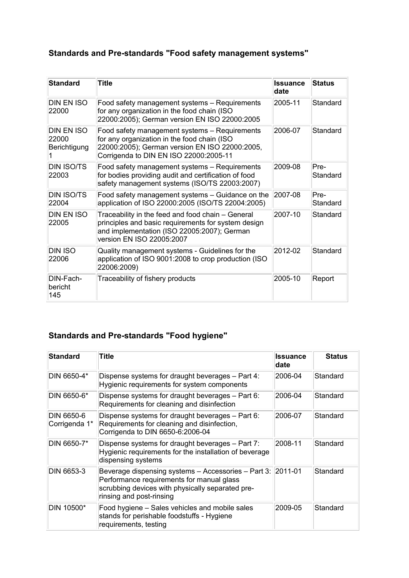## **Standards and Pre-standards "Food safety management systems"**

| <b>Standard</b>                            | Title                                                                                                                                                                                    | <b>Issuance</b><br>date | <b>Status</b>    |
|--------------------------------------------|------------------------------------------------------------------------------------------------------------------------------------------------------------------------------------------|-------------------------|------------------|
| <b>DIN EN ISO</b><br>22000                 | Food safety management systems - Requirements<br>for any organization in the food chain (ISO<br>22000:2005); German version EN ISO 22000:2005                                            | 2005-11                 | Standard         |
| <b>DIN EN ISO</b><br>22000<br>Berichtigung | Food safety management systems - Requirements<br>for any organization in the food chain (ISO<br>22000:2005); German version EN ISO 22000:2005,<br>Corrigenda to DIN EN ISO 22000:2005-11 | 2006-07                 | Standard         |
| <b>DIN ISO/TS</b><br>22003                 | Food safety management systems - Requirements<br>for bodies providing audit and certification of food<br>safety management systems (ISO/TS 22003:2007)                                   | 2009-08                 | Pre-<br>Standard |
| <b>DIN ISO/TS</b><br>22004                 | Food safety management systems – Guidance on the<br>application of ISO 22000:2005 (ISO/TS 22004:2005)                                                                                    | 2007-08                 | Pre-<br>Standard |
| DIN EN ISO<br>22005                        | Traceability in the feed and food chain - General<br>principles and basic requirements for system design<br>and implementation (ISO 22005:2007); German<br>version EN ISO 22005:2007     | 2007-10                 | Standard         |
| <b>DIN ISO</b><br>22006                    | Quality management systems - Guidelines for the<br>application of ISO 9001:2008 to crop production (ISO<br>22006:2009)                                                                   | 2012-02                 | Standard         |
| DIN-Fach-<br>bericht<br>145                | Traceability of fishery products                                                                                                                                                         | 2005-10                 | Report           |

## **Standards and Pre-standards "Food hygiene"**

| <b>Standard</b>             | Title                                                                                                                                                                            | <b>Issuance</b><br>date | <b>Status</b> |
|-----------------------------|----------------------------------------------------------------------------------------------------------------------------------------------------------------------------------|-------------------------|---------------|
| DIN 6650-4*                 | Dispense systems for draught beverages – Part 4:<br>Hygienic requirements for system components                                                                                  | 2006-04                 | Standard      |
| DIN 6650-6*                 | Dispense systems for draught beverages – Part 6:<br>Requirements for cleaning and disinfection                                                                                   | 2006-04                 | Standard      |
| DIN 6650-6<br>Corrigenda 1* | Dispense systems for draught beverages - Part 6:<br>Requirements for cleaning and disinfection,<br>Corrigenda to DIN 6650-6:2006-04                                              | 2006-07                 | Standard      |
| DIN 6650-7*                 | Dispense systems for draught beverages - Part 7:<br>Hygienic requirements for the installation of beverage<br>dispensing systems                                                 | 2008-11                 | Standard      |
| DIN 6653-3                  | Beverage dispensing systems - Accessories - Part 3:<br>Performance requirements for manual glass<br>scrubbing devices with physically separated pre-<br>rinsing and post-rinsing | $ 2011 - 01$            | Standard      |
| DIN 10500*                  | Food hygiene – Sales vehicles and mobile sales<br>stands for perishable foodstuffs - Hygiene<br>requirements, testing                                                            | 2009-05                 | Standard      |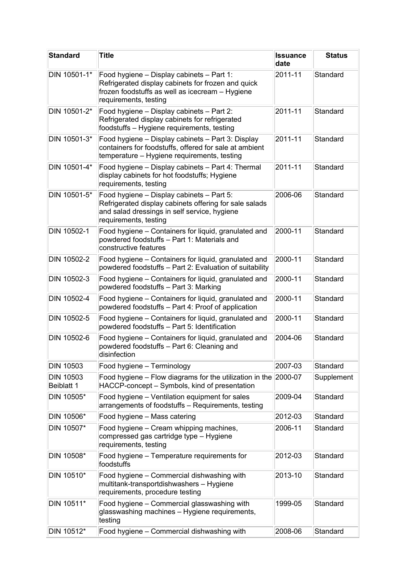| <b>Standard</b>                | <b>Title</b>                                                                                                                                                                 | <b>Issuance</b><br>date | <b>Status</b> |
|--------------------------------|------------------------------------------------------------------------------------------------------------------------------------------------------------------------------|-------------------------|---------------|
| DIN 10501-1*                   | Food hygiene - Display cabinets - Part 1:<br>Refrigerated display cabinets for frozen and quick<br>frozen foodstuffs as well as icecream - Hygiene<br>requirements, testing  | 2011-11                 | Standard      |
| DIN 10501-2*                   | Food hygiene - Display cabinets - Part 2:<br>Refrigerated display cabinets for refrigerated<br>foodstuffs - Hygiene requirements, testing                                    | 2011-11                 | Standard      |
| DIN 10501-3*                   | Food hygiene - Display cabinets - Part 3: Display<br>containers for foodstuffs, offered for sale at ambient<br>temperature - Hygiene requirements, testing                   | 2011-11                 | Standard      |
| DIN 10501-4*                   | Food hygiene - Display cabinets - Part 4: Thermal<br>display cabinets for hot foodstuffs; Hygiene<br>requirements, testing                                                   | 2011-11                 | Standard      |
| DIN 10501-5*                   | Food hygiene - Display cabinets - Part 5:<br>Refrigerated display cabinets offering for sale salads<br>and salad dressings in self service, hygiene<br>requirements, testing | 2006-06                 | Standard      |
| DIN 10502-1                    | Food hygiene - Containers for liquid, granulated and<br>powdered foodstuffs - Part 1: Materials and<br>constructive features                                                 | 2000-11                 | Standard      |
| DIN 10502-2                    | Food hygiene - Containers for liquid, granulated and<br>powdered foodstuffs - Part 2: Evaluation of suitability                                                              | 2000-11                 | Standard      |
| DIN 10502-3                    | Food hygiene - Containers for liquid, granulated and<br>powdered foodstuffs - Part 3: Marking                                                                                | 2000-11                 | Standard      |
| DIN 10502-4                    | Food hygiene – Containers for liquid, granulated and<br>powdered foodstuffs - Part 4: Proof of application                                                                   | 2000-11                 | Standard      |
| DIN 10502-5                    | Food hygiene – Containers for liquid, granulated and<br>powdered foodstuffs - Part 5: Identification                                                                         | 2000-11                 | Standard      |
| DIN 10502-6                    | Food hygiene - Containers for liquid, granulated and<br>powdered foodstuffs - Part 6: Cleaning and<br>disinfection                                                           | 2004-06                 | Standard      |
| <b>DIN 10503</b>               | Food hygiene - Terminology                                                                                                                                                   | 2007-03                 | Standard      |
| <b>DIN 10503</b><br>Beiblatt 1 | Food hygiene – Flow diagrams for the utilization in the<br>HACCP-concept - Symbols, kind of presentation                                                                     | 2000-07                 | Supplement    |
| DIN 10505*                     | Food hygiene - Ventilation equipment for sales<br>arrangements of foodstuffs - Requirements, testing                                                                         | 2009-04                 | Standard      |
| DIN 10506*                     | Food hygiene - Mass catering                                                                                                                                                 | 2012-03                 | Standard      |
| DIN 10507*                     | Food hygiene – Cream whipping machines,<br>compressed gas cartridge type - Hygiene<br>requirements, testing                                                                  | 2006-11                 | Standard      |
| DIN 10508*                     | Food hygiene - Temperature requirements for<br>foodstuffs                                                                                                                    | 2012-03                 | Standard      |
| DIN 10510*                     | Food hygiene - Commercial dishwashing with<br>multitank-transportdishwashers - Hygiene<br>requirements, procedure testing                                                    | 2013-10                 | Standard      |
| DIN 10511*                     | Food hygiene - Commercial glasswashing with<br>glasswashing machines - Hygiene requirements,<br>testing                                                                      | 1999-05                 | Standard      |
| DIN 10512*                     | Food hygiene - Commercial dishwashing with                                                                                                                                   | 2008-06                 | Standard      |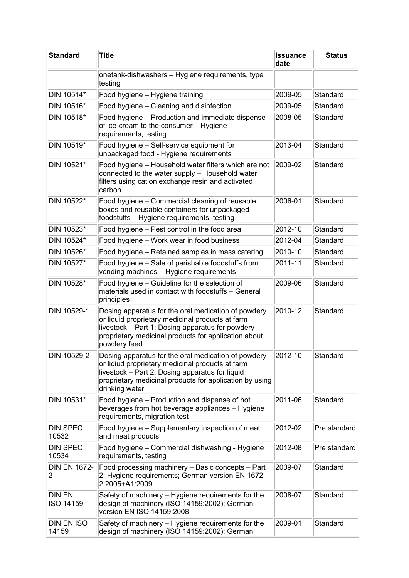| <b>Standard</b>                       | <b>Title</b>                                                                                                                                                                                                                            | <b>Issuance</b><br>date | <b>Status</b> |
|---------------------------------------|-----------------------------------------------------------------------------------------------------------------------------------------------------------------------------------------------------------------------------------------|-------------------------|---------------|
|                                       | onetank-dishwashers - Hygiene requirements, type<br>testing                                                                                                                                                                             |                         |               |
| DIN 10514*                            | Food hygiene - Hygiene training                                                                                                                                                                                                         | 2009-05                 | Standard      |
| DIN 10516*                            | Food hygiene - Cleaning and disinfection                                                                                                                                                                                                | 2009-05                 | Standard      |
| DIN 10518*                            | Food hygiene - Production and immediate dispense<br>of ice-cream to the consumer - Hygiene<br>requirements, testing                                                                                                                     | 2008-05                 | Standard      |
| DIN 10519*                            | Food hygiene - Self-service equipment for<br>unpackaged food - Hygiene requirements                                                                                                                                                     | 2013-04                 | Standard      |
| DIN 10521*                            | Food hygiene - Household water filters which are not<br>connected to the water supply - Household water<br>filters using cation exchange resin and activated<br>carbon                                                                  | 2009-02                 | Standard      |
| DIN 10522*                            | Food hygiene – Commercial cleaning of reusable<br>boxes and reusable containers for unpackaged<br>foodstuffs - Hygiene requirements, testing                                                                                            | 2006-01                 | Standard      |
| DIN 10523*                            | Food hygiene - Pest control in the food area                                                                                                                                                                                            | 2012-10                 | Standard      |
| DIN 10524*                            | Food hygiene - Work wear in food business                                                                                                                                                                                               | 2012-04                 | Standard      |
| DIN 10526*                            | Food hygiene - Retained samples in mass catering                                                                                                                                                                                        | 2010-10                 | Standard      |
| DIN 10527*                            | Food hygiene - Sale of perishable foodstuffs from<br>vending machines - Hygiene requirements                                                                                                                                            | 2011-11                 | Standard      |
| DIN 10528*                            | Food hygiene – Guideline for the selection of<br>materials used in contact with foodstuffs - General<br>principles                                                                                                                      | 2009-06                 | Standard      |
| DIN 10529-1                           | Dosing apparatus for the oral medication of powdery<br>or liquid proprietary medicinal products at farm<br>livestock - Part 1: Dosing apparatus for powdery<br>proprietary medicinal products for application about<br>powdery feed     | 2010-12                 | Standard      |
| DIN 10529-2                           | Dosing apparatus for the oral medication of powdery<br>or liqiud proprietary medicinal products at farm<br>livestock – Part 2: Dosing apparatus for liquid<br>proprietary medicinal products for application by using<br>drinking water | 2012-10                 | Standard      |
| DIN 10531*                            | Food hygiene - Production and dispense of hot<br>beverages from hot beverage appliances - Hygiene<br>requirements, migration test                                                                                                       | 2011-06                 | Standard      |
| <b>DIN SPEC</b><br>10532              | Food hygiene – Supplementary inspection of meat<br>and meat products                                                                                                                                                                    | 2012-02                 | Pre standard  |
| <b>DIN SPEC</b><br>10534              | Food hygiene - Commercial dishwashing - Hygiene<br>requirements, testing                                                                                                                                                                | 2012-08                 | Pre standard  |
| <b>DIN EN 1672-</b><br>$\overline{2}$ | Food processing machinery - Basic concepts - Part<br>2: Hygiene requirements; German version EN 1672-<br>2:2005+A1:2009                                                                                                                 | 2009-07                 | Standard      |
| <b>DIN EN</b><br>ISO 14159            | Safety of machinery – Hygiene requirements for the<br>design of machinery (ISO 14159:2002); German<br>version EN ISO 14159:2008                                                                                                         | 2008-07                 | Standard      |
| <b>DIN EN ISO</b><br>14159            | Safety of machinery - Hygiene requirements for the<br>design of machinery (ISO 14159:2002); German                                                                                                                                      | 2009-01                 | Standard      |